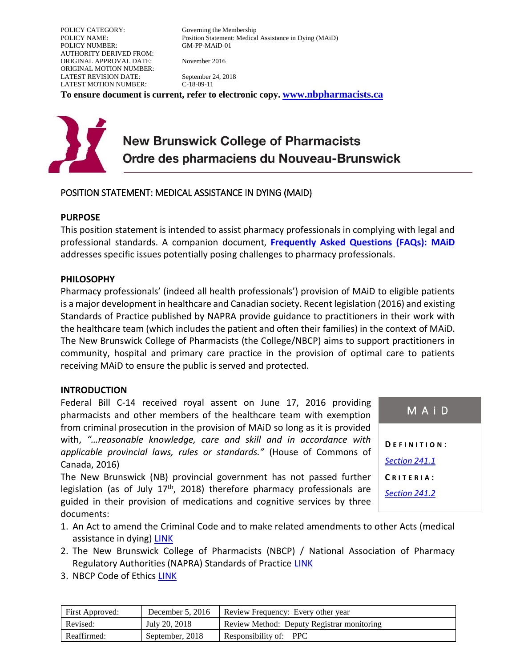POLICY CATEGORY: Governing the Membership POLICY NUMBER: GM-PP-MAiD-01 AUTHORITY DERIVED FROM: ORIGINAL APPROVAL DATE: November 2016 ORIGINAL MOTION NUMBER: LATEST REVISION DATE: September 24, 2018 LATEST MOTION NUMBER: C-18-09-11

POLICY NAME: Position Statement: Medical Assistance in Dying (MAiD)

**To ensure document is current, refer to electronic copy. [www.nbpharmacists.ca](http://www.nbpharmacists.ca/)**

# **New Brunswick College of Pharmacists** Ordre des pharmaciens du Nouveau-Brunswick

## POSITION STATEMENT: MEDICAL ASSISTANCE IN DYING (MAID)

#### **PURPOSE**

This position statement is intended to assist pharmacy professionals in complying with legal and professional standards. A companion document, **[Frequently Asked Questions \(FAQs\): MAiD](http://nbcp.in1touch.org/document/3052/GM-PP-MAiD-02%20FAQ_NBCP_Jan2017%20EN.pdf)** addresses specific issues potentially posing challenges to pharmacy professionals.

#### **PHILOSOPHY**

Pharmacy professionals' (indeed all health professionals') provision of MAiD to eligible patients is a major development in healthcare and Canadian society. Recent legislation (2016) and existing Standards of Practice published by NAPRA provide guidance to practitioners in their work with the healthcare team (which includes the patient and often their families) in the context of MAiD. The New Brunswick College of Pharmacists (the College/NBCP) aims to support practitioners in community, hospital and primary care practice in the provision of optimal care to patients receiving MAiD to ensure the public is served and protected.

#### **INTRODUCTION**

Federal Bill C-14 received royal assent on June 17, 2016 providing pharmacists and other members of the healthcare team with exemption from criminal prosecution in the provision of MAiD so long as it is provided with, *"…reasonable knowledge, care and skill and in accordance with applicable provincial laws, rules or standards."* (House of Commons of Canada, 2016)

The New Brunswick (NB) provincial government has not passed further legislation (as of July  $17<sup>th</sup>$ , 2018) therefore pharmacy professionals are guided in their provision of medications and cognitive services by three documents:

| MAID                 |  |  |
|----------------------|--|--|
| DEFINITION:          |  |  |
| <b>Section 241.1</b> |  |  |
| CRITERIA:            |  |  |
| Section 241.2        |  |  |
|                      |  |  |

- 1. An Act to amend the Criminal Code and to make related amendments to other Acts (medical assistance in dying) [LINK](http://www.parl.ca/Content/Bills/421/Government/C-14/C-14_4/C-14_4.PDF)
- 2. The New Brunswick College of Pharmacists (NBCP) / National Association of Pharmacy Regulatory Authorities (NAPRA) Standards of Practice [LINK](https://www.nbpharmacists.ca/site/standard-guidelines)
- 3. NBCP Code of Ethics [LINK](https://nbcp.in1touch.org/document/4025/NBCP%20COE%20English%20Online.pdf)

| First Approved: | December $5, 2016$ | Review Frequency: Every other year         |
|-----------------|--------------------|--------------------------------------------|
| Revised:        | July 20, 2018      | Review Method: Deputy Registrar monitoring |
| Reaffirmed:     | September, 2018    | Responsibility of: PPC                     |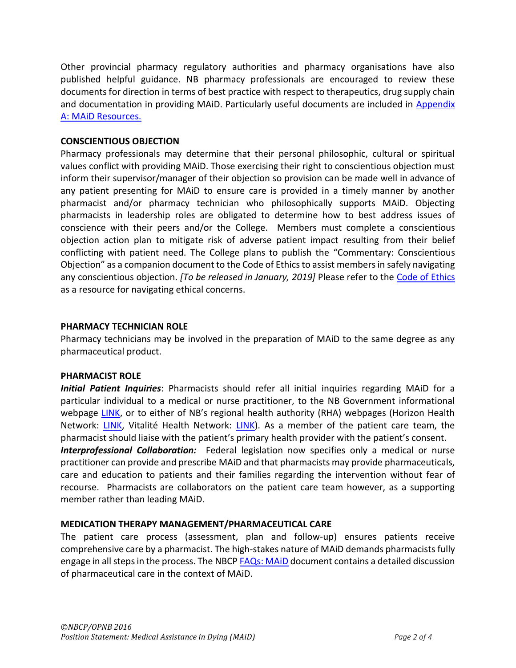Other provincial pharmacy regulatory authorities and pharmacy organisations have also published helpful guidance. NB pharmacy professionals are encouraged to review these documents for direction in terms of best practice with respect to therapeutics, drug supply chain and documentation in providing MAiD. Particularly useful documents are included in [Appendix](#page-2-0)  [A: MAiD Resources.](#page-2-0)

## **CONSCIENTIOUS OBJECTION**

Pharmacy professionals may determine that their personal philosophic, cultural or spiritual values conflict with providing MAiD. Those exercising their right to conscientious objection must inform their supervisor/manager of their objection so provision can be made well in advance of any patient presenting for MAiD to ensure care is provided in a timely manner by another pharmacist and/or pharmacy technician who philosophically supports MAiD. Objecting pharmacists in leadership roles are obligated to determine how to best address issues of conscience with their peers and/or the College. Members must complete a conscientious objection action plan to mitigate risk of adverse patient impact resulting from their belief conflicting with patient need. The College plans to publish the "Commentary: Conscientious Objection" as a companion document to the Code of Ethicsto assist members in safely navigating any conscientious objection. *[To be released in January, 2019]* Please refer to the [Code of Ethics](https://www.nbpharmacists.ca/site/codeofethics) as a resource for navigating ethical concerns.

## **PHARMACY TECHNICIAN ROLE**

Pharmacy technicians may be involved in the preparation of MAiD to the same degree as any pharmaceutical product.

## **PHARMACIST ROLE**

*Initial Patient Inquiries*: Pharmacists should refer all initial inquiries regarding MAiD for a particular individual to a medical or nurse practitioner, to the NB Government informational webpage [LINK](http://www2.gnb.ca/content/gnb/en/departments/health/patientinformation/content/MedicalAssistanceInDying.html), or to either of NB's regional health authority (RHA) webpages (Horizon Health Network: [LINK,](http://en.horizonnb.ca/media-centre/awareness-initiatives/medical-assistance-in-dying.aspx) Vitalité Health Network: [LINK\)](http://www.vitalitenb.ca/en/patients/end-life-care/medical-assistance-dying). As a member of the patient care team, the pharmacist should liaise with the patient's primary health provider with the patient's consent.

*Interprofessional Collaboration:* Federal legislation now specifies only a medical or nurse practitioner can provide and prescribe MAiD and that pharmacists may provide pharmaceuticals, care and education to patients and their families regarding the intervention without fear of recourse. Pharmacists are collaborators on the patient care team however, as a supporting member rather than leading MAiD.

# **MEDICATION THERAPY MANAGEMENT/PHARMACEUTICAL CARE**

The patient care process (assessment, plan and follow-up) ensures patients receive comprehensive care by a pharmacist. The high-stakes nature of MAiD demands pharmacists fully engage in all steps in the process. The NBC[P FAQs: MAiD](http://nbcp.in1touch.org/document/3052/GM-PP-MAiD-02%20FAQ_NBCP_Jan2017%20EN.pdf) document contains a detailed discussion of pharmaceutical care in the context of MAiD.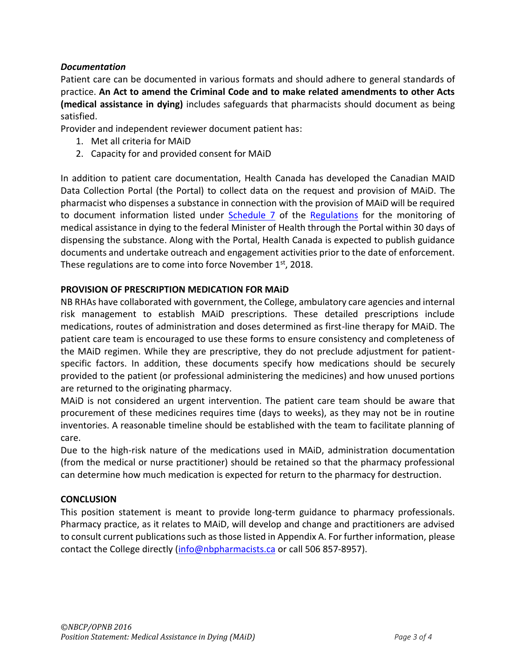# *Documentation*

Patient care can be documented in various formats and should adhere to general standards of practice. **An Act to amend the Criminal Code and to make related amendments to other Acts (medical assistance in dying)** includes safeguards that pharmacists should document as being satisfied.

Provider and independent reviewer document patient has:

- 1. Met all criteria for MAiD
- 2. Capacity for and provided consent for MAiD

In addition to patient care documentation, Health Canada has developed the Canadian MAID Data Collection Portal (the Portal) to collect data on the request and provision of MAiD. The pharmacist who dispenses a substance in connection with the provision of MAiD will be required to document information listed under [Schedule 7](http://gazette.gc.ca/rp-pr/p2/2018/2018-08-08/html/sor-dors166-eng.html) of the [Regulations](http://www.gazette.gc.ca/rp-pr/p2/2018/2018-08-08/html/sor-dors166-eng.html) for the monitoring of medical assistance in dying to the federal Minister of Health through the Portal within 30 days of dispensing the substance. Along with the Portal, Health Canada is expected to publish guidance documents and undertake outreach and engagement activities prior to the date of enforcement. These regulations are to come into force November 1<sup>st</sup>, 2018.

## **PROVISION OF PRESCRIPTION MEDICATION FOR MAiD**

NB RHAs have collaborated with government, the College, ambulatory care agencies and internal risk management to establish MAiD prescriptions. These detailed prescriptions include medications, routes of administration and doses determined as first-line therapy for MAiD. The patient care team is encouraged to use these forms to ensure consistency and completeness of the MAiD regimen. While they are prescriptive, they do not preclude adjustment for patientspecific factors. In addition, these documents specify how medications should be securely provided to the patient (or professional administering the medicines) and how unused portions are returned to the originating pharmacy.

MAiD is not considered an urgent intervention. The patient care team should be aware that procurement of these medicines requires time (days to weeks), as they may not be in routine inventories. A reasonable timeline should be established with the team to facilitate planning of care.

Due to the high-risk nature of the medications used in MAiD, administration documentation (from the medical or nurse practitioner) should be retained so that the pharmacy professional can determine how much medication is expected for return to the pharmacy for destruction.

## **CONCLUSION**

<span id="page-2-0"></span>This position statement is meant to provide long-term guidance to pharmacy professionals. Pharmacy practice, as it relates to MAiD, will develop and change and practitioners are advised to consult current publications such as those listed in Appendix A. For further information, please contact the College directly [\(info@nbpharmacists.ca](mailto:info@nbpharmacists.ca) or call 506 857-8957).